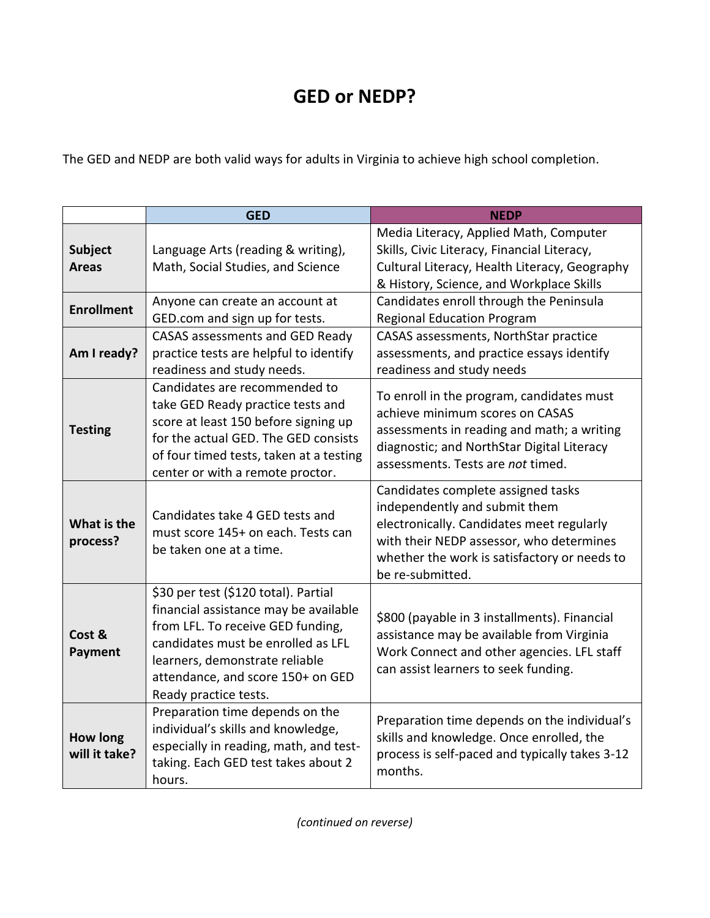## **GED or NEDP?**

The GED and NEDP are both valid ways for adults in Virginia to achieve high school completion.

|                                  | <b>GED</b>                                                                                                                                                                                                                                               | <b>NEDP</b>                                                                                                                                                                                                                      |
|----------------------------------|----------------------------------------------------------------------------------------------------------------------------------------------------------------------------------------------------------------------------------------------------------|----------------------------------------------------------------------------------------------------------------------------------------------------------------------------------------------------------------------------------|
| <b>Subject</b><br><b>Areas</b>   | Language Arts (reading & writing),<br>Math, Social Studies, and Science                                                                                                                                                                                  | Media Literacy, Applied Math, Computer<br>Skills, Civic Literacy, Financial Literacy,<br>Cultural Literacy, Health Literacy, Geography<br>& History, Science, and Workplace Skills                                               |
| <b>Enrollment</b>                | Anyone can create an account at<br>GED.com and sign up for tests.                                                                                                                                                                                        | Candidates enroll through the Peninsula<br><b>Regional Education Program</b>                                                                                                                                                     |
| Am I ready?                      | CASAS assessments and GED Ready<br>practice tests are helpful to identify<br>readiness and study needs.                                                                                                                                                  | CASAS assessments, NorthStar practice<br>assessments, and practice essays identify<br>readiness and study needs                                                                                                                  |
| <b>Testing</b>                   | Candidates are recommended to<br>take GED Ready practice tests and<br>score at least 150 before signing up<br>for the actual GED. The GED consists<br>of four timed tests, taken at a testing<br>center or with a remote proctor.                        | To enroll in the program, candidates must<br>achieve minimum scores on CASAS<br>assessments in reading and math; a writing<br>diagnostic; and NorthStar Digital Literacy<br>assessments. Tests are not timed.                    |
| What is the<br>process?          | Candidates take 4 GED tests and<br>must score 145+ on each. Tests can<br>be taken one at a time.                                                                                                                                                         | Candidates complete assigned tasks<br>independently and submit them<br>electronically. Candidates meet regularly<br>with their NEDP assessor, who determines<br>whether the work is satisfactory or needs to<br>be re-submitted. |
| Cost &<br>Payment                | \$30 per test (\$120 total). Partial<br>financial assistance may be available<br>from LFL. To receive GED funding,<br>candidates must be enrolled as LFL<br>learners, demonstrate reliable<br>attendance, and score 150+ on GED<br>Ready practice tests. | \$800 (payable in 3 installments). Financial<br>assistance may be available from Virginia<br>Work Connect and other agencies. LFL staff<br>can assist learners to seek funding.                                                  |
| <b>How long</b><br>will it take? | Preparation time depends on the<br>individual's skills and knowledge,<br>especially in reading, math, and test-<br>taking. Each GED test takes about 2<br>hours.                                                                                         | Preparation time depends on the individual's<br>skills and knowledge. Once enrolled, the<br>process is self-paced and typically takes 3-12<br>months.                                                                            |